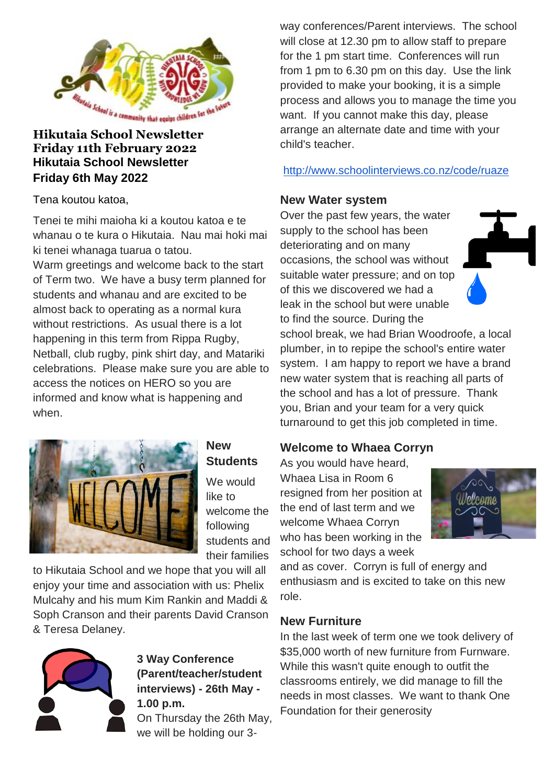

#### **Hikutaia School Newsletter Friday 11th February 2022 Hikutaia School Newsletter Friday 6th May 2022**

Tena koutou katoa,

Tenei te mihi maioha ki a koutou katoa e te whanau o te kura o Hikutaia. Nau mai hoki mai ki tenei whanaga tuarua o tatou.

Warm greetings and welcome back to the start of Term two. We have a busy term planned for students and whanau and are excited to be almost back to operating as a normal kura without restrictions. As usual there is a lot happening in this term from Rippa Rugby, Netball, club rugby, pink shirt day, and Matariki celebrations. Please make sure you are able to access the notices on HERO so you are informed and know what is happening and when.



#### **New Students**

We would like to welcome the following students and their families

to Hikutaia School and we hope that you will all enjoy your time and association with us: Phelix Mulcahy and his mum Kim Rankin and Maddi & Soph Cranson and their parents David Cranson & Teresa Delaney.



#### **3 Way Conference (Parent/teacher/student interviews) - 26th May - 1.00 p.m.**

On Thursday the 26th May, we will be holding our 3-

way conferences/Parent interviews. The school will close at 12.30 pm to allow staff to prepare for the 1 pm start time. Conferences will run from 1 pm to 6.30 pm on this day. Use the link provided to make your booking, it is a simple process and allows you to manage the time you want. If you cannot make this day, please arrange an alternate date and time with your child's teacher.

<http://www.schoolinterviews.co.nz/code/ruaze>

#### **New Water system**

Over the past few years, the water supply to the school has been deteriorating and on many occasions, the school was without suitable water pressure; and on top of this we discovered we had a leak in the school but were unable to find the source. During the



school break, we had Brian Woodroofe, a local plumber, in to repipe the school's entire water system. I am happy to report we have a brand new water system that is reaching all parts of the school and has a lot of pressure. Thank you, Brian and your team for a very quick turnaround to get this job completed in time.

# **Welcome to Whaea Corryn**

As you would have heard, Whaea Lisa in Room 6 resigned from her position at the end of last term and we welcome Whaea Corryn who has been working in the school for two days a week



and as cover. Corryn is full of energy and enthusiasm and is excited to take on this new role.

#### **New Furniture**

In the last week of term one we took delivery of \$35,000 worth of new furniture from Furnware. While this wasn't quite enough to outfit the classrooms entirely, we did manage to fill the needs in most classes. We want to thank One Foundation for their generosity